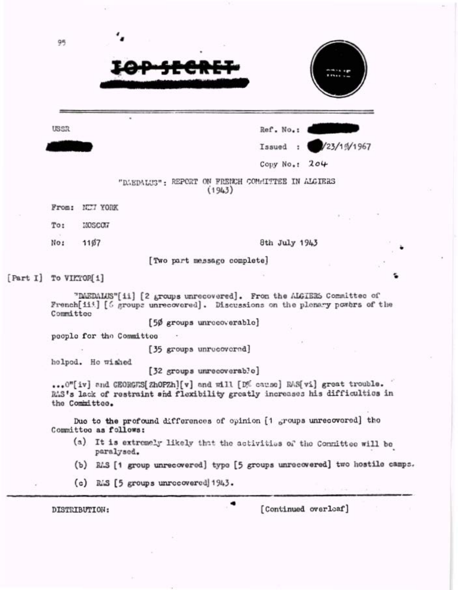|  | USSR                                                                                                                                                                                                     |                          |                                      |                           | Ref. No.:     |                     |  |  |
|--|----------------------------------------------------------------------------------------------------------------------------------------------------------------------------------------------------------|--------------------------|--------------------------------------|---------------------------|---------------|---------------------|--|--|
|  |                                                                                                                                                                                                          |                          |                                      |                           |               | Issued: /23/1%/1967 |  |  |
|  |                                                                                                                                                                                                          |                          |                                      |                           | Copy No.1 204 |                     |  |  |
|  | "DAEDALUS": REPORT ON FRENCH COMMITTEE IN ALGIERS<br>(1943)                                                                                                                                              |                          |                                      |                           |               |                     |  |  |
|  | From:                                                                                                                                                                                                    | NUT YORK                 |                                      |                           |               |                     |  |  |
|  | To:                                                                                                                                                                                                      | MOSCOW                   |                                      |                           |               |                     |  |  |
|  | No:                                                                                                                                                                                                      | 1107                     |                                      |                           | 8th July 1943 |                     |  |  |
|  | [Two part message complete]                                                                                                                                                                              |                          |                                      |                           |               |                     |  |  |
|  | [Part I] To VIMTOR[1]                                                                                                                                                                                    |                          |                                      |                           |               |                     |  |  |
|  | "DAEDALUS"[ii] [2 groups unrecovered]. From the ALGIERS Committee of<br>French[iii] [6 groups unrecovered]. Discussions on the plonary powers of the<br>Committee                                        |                          |                                      |                           |               |                     |  |  |
|  |                                                                                                                                                                                                          |                          |                                      | [50 groups unrecoverable] |               |                     |  |  |
|  |                                                                                                                                                                                                          | people for the Committee |                                      |                           |               |                     |  |  |
|  |                                                                                                                                                                                                          | holpod. Ho wished        | [35 groups unrocovered]              |                           |               |                     |  |  |
|  | [32 groups unrecoverable]<br>O"[iv] and GEORGES[ZhOPZh][v] and will [DE cause] RAS[vi] great trouble.<br>RAS's lack of restraint and flexibility greatly increases his difficulties in<br>the Committee. |                          |                                      |                           |               |                     |  |  |
|  | Due to the profound differences of opinion [1 groups unrecovered] the<br>Committoo as follows:                                                                                                           |                          |                                      |                           |               |                     |  |  |
|  | (a) It is extremely likely that the activities of the Committee will be<br>paralysed.                                                                                                                    |                          |                                      |                           |               |                     |  |  |
|  | (b) RAS [1 group unrecovered] type [5 groups unrecovered] two hostile camps                                                                                                                              |                          |                                      |                           |               |                     |  |  |
|  |                                                                                                                                                                                                          |                          | (c) RAS [5 groups unrecovered] 1943. |                           |               |                     |  |  |

 $\mathcal{L}$ 

×

œ,

 $\sim$ 

 $\widetilde{\omega}$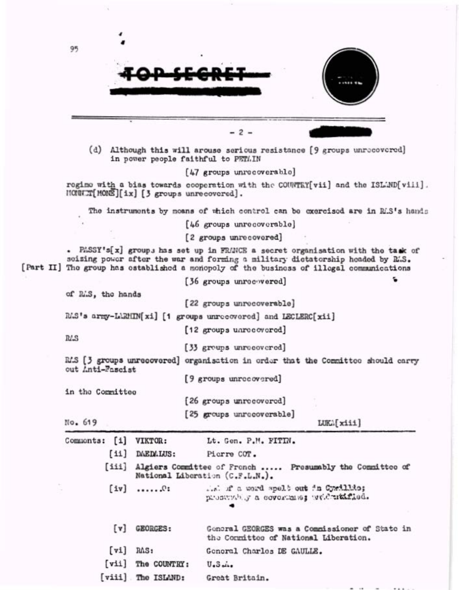

(d) Although this will arouse serious resistance [9 groups unrecovered] in power people faithful to PETLIN

[47 groups unrecoverable]

rogimo with a bias towards cooperation with the COUNTRY[vii] and the ISL'ND[viii].  $MOWX[MMB][ix]$  [3 groups unrecovered].

The instruments by means of which control can be exercised are in R.S's hands

[46 groups unrecoverable]

[2 groups unrecovered]

. PASSY's[x] groups has set up in FRANCE a secret organisation with the task of scizing power after the war and forming a military dictatorship hoaded by R.S. [Part II] The group has established a monopoly of the business of illegal communications

[36 groups unrocovered]

of R.S, the hands

[22 groups unrocoverable]

RAS's army-LARMIN[xi] [1 groups unrecovered] and LECLERC[xii]

[12 groups unrecovered]

RAS

[33 groups unrecovered]

RAS [3 groups unrecovered] organisation in order that the Committee should carry out Anti-Fascist

[9 groups unrecovered]

in the Committee

[26 groups unrecovered]

[25 groups unrecoverable]

No. 619

LUKA[xiii]

| Commonts: [i] | VIKTOR:                                                                                           | Lt. Gen. P.M. FITIN.                                                                    |  |  |
|---------------|---------------------------------------------------------------------------------------------------|-----------------------------------------------------------------------------------------|--|--|
| [11]          | DAEDALUS:                                                                                         | Picrre COT.                                                                             |  |  |
|               | [iii] Algiers Committee of Fronch  Presumably the Committee of<br>National Liberation (C.F.L.N.). |                                                                                         |  |  |
|               | $[v]$ $\mathbb{R}$ :                                                                              | if a word spelt out in Cyrillic;<br>prostrable a covering welcutafied.                  |  |  |
| [v]           | <b>GEORGES:</b>                                                                                   | Gonoral GEORGES was a Commissioner of State in<br>the Committee of National Liberation. |  |  |
| [vi]          | RAS:                                                                                              | General Charles DE GAULLE.                                                              |  |  |
|               | [vii] The COUNTRY:                                                                                | $U0$ $Smin$                                                                             |  |  |

[viii] The ISLAND: Great Britain.